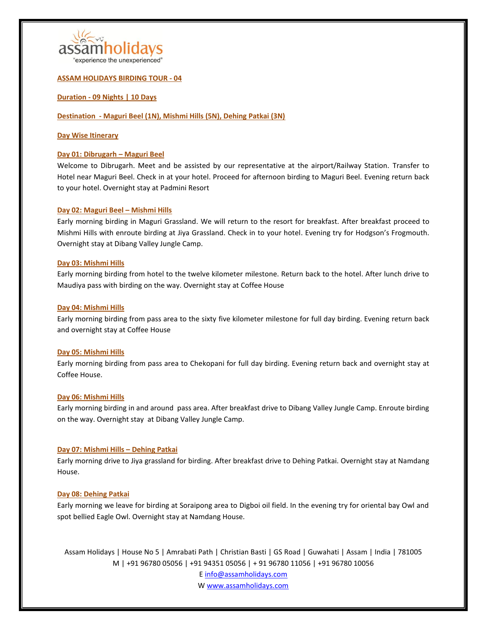

'experience the unexperienced"

# **ASSAM HOLIDAYS BIRDING TOUR - 04**

# **Duration - 09 Nights | 10 Days**

# **Destination - Maguri Beel (1N), Mishmi Hills (5N), Dehing Patkai (3N)**

### **Day Wise Itinerary**

### **Day 01: Dibrugarh – Maguri Beel**

Welcome to Dibrugarh. Meet and be assisted by our representative at the airport/Railway Station. Transfer to Hotel near Maguri Beel. Check in at your hotel. Proceed for afternoon birding to Maguri Beel. Evening return back to your hotel. Overnight stay at Padmini Resort

### **Day 02: Maguri Beel – Mishmi Hills**

Early morning birding in Maguri Grassland. We will return to the resort for breakfast. After breakfast proceed to Mishmi Hills with enroute birding at Jiya Grassland. Check in to your hotel. Evening try for Hodgson's Frogmouth. Overnight stay at Dibang Valley Jungle Camp.

### **Day 03: Mishmi Hills**

Early morning birding from hotel to the twelve kilometer milestone. Return back to the hotel. After lunch drive to Maudiya pass with birding on the way. Overnight stay at Coffee House

### **Day 04: Mishmi Hills**

Early morning birding from pass area to the sixty five kilometer milestone for full day birding. Evening return back and overnight stay at Coffee House

### **Day 05: Mishmi Hills**

Early morning birding from pass area to Chekopani for full day birding. Evening return back and overnight stay at Coffee House.

### **Day 06: Mishmi Hills**

Early morning birding in and around pass area. After breakfast drive to Dibang Valley Jungle Camp. Enroute birding on the way. Overnight stay at Dibang Valley Jungle Camp.

# **Day 07: Mishmi Hills – Dehing Patkai**

Early morning drive to Jiya grassland for birding. After breakfast drive to Dehing Patkai. Overnight stay at Namdang House.

# **Day 08: Dehing Patkai**

Early morning we leave for birding at Soraipong area to Digboi oil field. In the evening try for oriental bay Owl and spot bellied Eagle Owl. Overnight stay at Namdang House.

Assam Holidays | House No 5 | Amrabati Path | Christian Basti | GS Road | Guwahati | Assam | India | 781005 M | +91 96780 05056 | +91 94351 05056 | + 91 96780 11056 | +91 96780 10056

E info@assamholidays.com

W www.assamholidays.com